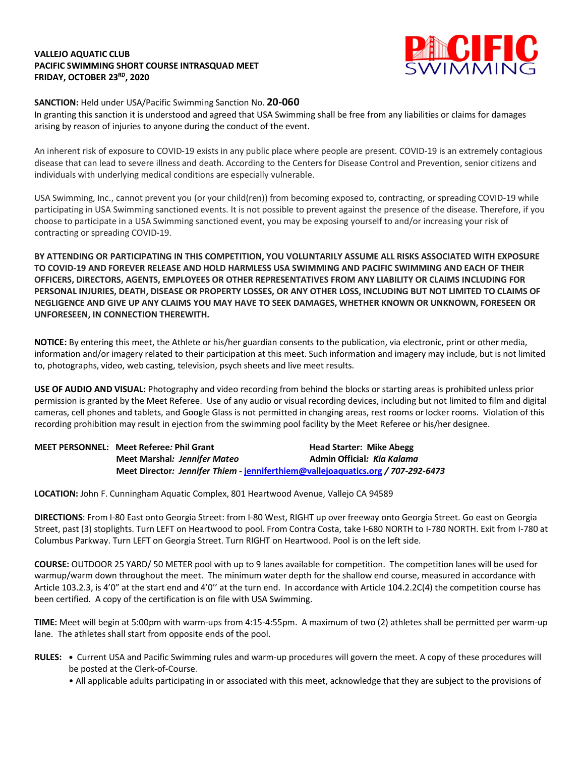## **VALLEJO AQUATIC CLUB PACIFIC SWIMMING SHORT COURSE INTRASQUAD MEET FRIDAY, OCTOBER 23RD, 2020**



# **SANCTION:** Held under USA/Pacific Swimming Sanction No. **20-060**

In granting this sanction it is understood and agreed that USA Swimming shall be free from any liabilities or claims for damages arising by reason of injuries to anyone during the conduct of the event.

An inherent risk of exposure to COVID-19 exists in any public place where people are present. COVID-19 is an extremely contagious disease that can lead to severe illness and death. According to the Centers for Disease Control and Prevention, senior citizens and individuals with underlying medical conditions are especially vulnerable.

USA Swimming, Inc., cannot prevent you (or your child(ren)) from becoming exposed to, contracting, or spreading COVID-19 while participating in USA Swimming sanctioned events. It is not possible to prevent against the presence of the disease. Therefore, if you choose to participate in a USA Swimming sanctioned event, you may be exposing yourself to and/or increasing your risk of contracting or spreading COVID-19.

**BY ATTENDING OR PARTICIPATING IN THIS COMPETITION, YOU VOLUNTARILY ASSUME ALL RISKS ASSOCIATED WITH EXPOSURE TO COVID-19 AND FOREVER RELEASE AND HOLD HARMLESS USA SWIMMING AND PACIFIC SWIMMING AND EACH OF THEIR OFFICERS, DIRECTORS, AGENTS, EMPLOYEES OR OTHER REPRESENTATIVES FROM ANY LIABILITY OR CLAIMS INCLUDING FOR** PERSONAL INJURIES, DEATH, DISEASE OR PROPERTY LOSSES, OR ANY OTHER LOSS, INCLUDING BUT NOT LIMITED TO CLAIMS OF NEGLIGENCE AND GIVE UP ANY CLAIMS YOU MAY HAVE TO SEEK DAMAGES, WHETHER KNOWN OR UNKNOWN, FORESEEN OR **UNFORESEEN, IN CONNECTION THEREWITH.**

**NOTICE:** By entering this meet, the Athlete or his/her guardian consents to the publication, via electronic, print or other media, information and/or imagery related to their participation at this meet. Such information and imagery may include, but is not limited to, photographs, video, web casting, television, psych sheets and live meet results.

**USE OF AUDIO AND VISUAL:** Photography and video recording from behind the blocks or starting areas is prohibited unless prior permission is granted by the Meet Referee. Use of any audio or visual recording devices, including but not limited to film and digital cameras, cell phones and tablets, and Google Glass is not permitted in changing areas, rest rooms or locker rooms. Violation of this recording prohibition may result in ejection from the swimming pool facility by the Meet Referee or his/her designee.

| <b>MEET PERSONNEL: Meet Referee: Phil Grant</b>                                  | <b>Head Starter: Mike Abegg</b> |
|----------------------------------------------------------------------------------|---------------------------------|
| Meet Marshal: Jennifer Mateo                                                     | Admin Official: Kia Kalama      |
| Meet Director: Jennifer Thiem - jenniferthiem@vallejoaquatics.org / 707-292-6473 |                                 |

**LOCATION:** John F. Cunningham Aquatic Complex, 801 Heartwood Avenue, Vallejo CA 94589

**DIRECTIONS**: From I-80 East onto Georgia Street: from I-80 West, RIGHT up over freeway onto Georgia Street. Go east on Georgia Street, past (3) stoplights. Turn LEFT on Heartwood to pool. From Contra Costa, take I-680 NORTH to I-780 NORTH. Exit from I-780 at Columbus Parkway. Turn LEFT on Georgia Street. Turn RIGHT on Heartwood. Pool is on the left side.

**COURSE:** OUTDOOR 25 YARD/ 50 METER pool with up to 9 lanes available for competition. The competition lanes will be used for warmup/warm down throughout the meet. The minimum water depth for the shallow end course, measured in accordance with Article 103.2.3, is 4'0" at the start end and 4'0'' at the turn end. In accordance with Article 104.2.2C(4) the competition course has been certified. A copy of the certification is on file with USA Swimming.

**TIME:** Meet will begin at 5:00pm with warm-ups from 4:15-4:55pm. A maximum of two (2) athletes shall be permitted per warm-up lane. The athletes shall start from opposite ends of the pool.

- **RULES:** Current USA and Pacific Swimming rules and warm-up procedures will govern the meet. A copy of these procedures will be posted at the Clerk-of-Course.
	- All applicable adults participating in or associated with this meet, acknowledge that they are subject to the provisions of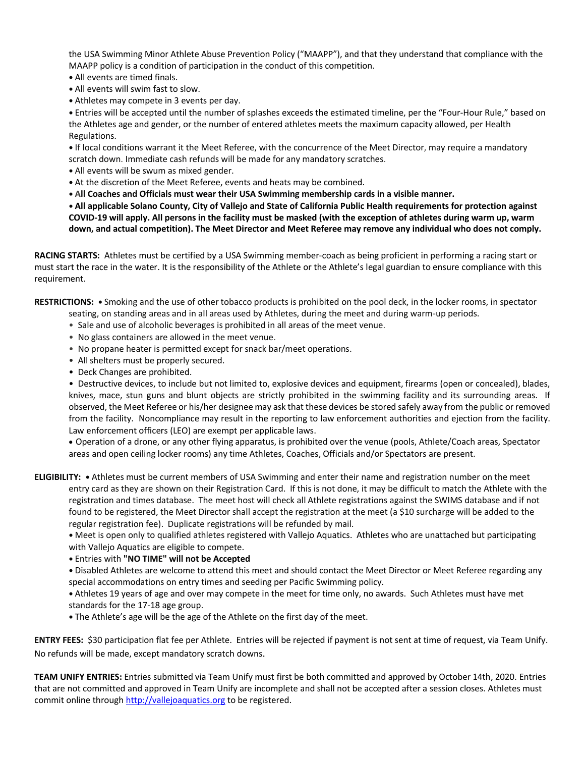the USA Swimming Minor Athlete Abuse Prevention Policy ("MAAPP"), and that they understand that compliance with the MAAPP policy is a condition of participation in the conduct of this competition.

- **•** All events are timed finals.
- **•** All events will swim fast to slow.
- **•** Athletes may compete in 3 events per day.

**•** Entries will be accepted until the number of splashes exceeds the estimated timeline, per the "Four-Hour Rule," based on the Athletes age and gender, or the number of entered athletes meets the maximum capacity allowed, per Health Regulations.

**•** If local conditions warrant it the Meet Referee, with the concurrence of the Meet Director, may require a mandatory scratch down. Immediate cash refunds will be made for any mandatory scratches.

- **•** All events will be swum as mixed gender.
- **•** At the discretion of the Meet Referee, events and heats may be combined.
- **• All Coaches and Officials must wear their USA Swimming membership cards in a visible manner.**

. All applicable Solano County, City of Vallejo and State of California Public Health requirements for protection against COVID-19 will apply. All persons in the facility must be masked (with the exception of athletes during warm up, warm down, and actual competition). The Meet Director and Meet Referee may remove any individual who does not comply.

**RACING STARTS:** Athletes must be certified by a USA Swimming member-coach as being proficient in performing a racing start or must start the race in the water. It is the responsibility of the Athlete or the Athlete's legal guardian to ensure compliance with this requirement.

**RESTRICTIONS: •** Smoking and the use of other tobacco products is prohibited on the pool deck, in the locker rooms, in spectator

- seating, on standing areas and in all areas used by Athletes, during the meet and during warm-up periods.
- Sale and use of alcoholic beverages is prohibited in all areas of the meet venue.
- No glass containers are allowed in the meet venue.
- No propane heater is permitted except for snack bar/meet operations.
- All shelters must be properly secured.
- Deck Changes are prohibited.

• Destructive devices, to include but not limited to, explosive devices and equipment, firearms (open or concealed), blades, knives, mace, stun guns and blunt objects are strictly prohibited in the swimming facility and its surrounding areas. If observed, the Meet Referee or his/her designee may ask that these devices be stored safely away from the public or removed from the facility. Noncompliance may result in the reporting to law enforcement authorities and ejection from the facility. Law enforcement officers (LEO) are exempt per applicable laws.

• Operation of a drone, or any other flying apparatus, is prohibited over the venue (pools, Athlete/Coach areas, Spectator areas and open ceiling locker rooms) any time Athletes, Coaches, Officials and/or Spectators are present.

**ELIGIBILITY: •** Athletes must be current members of USA Swimming and enter their name and registration number on the meet entry card as they are shown on their Registration Card. If this is not done, it may be difficult to match the Athlete with the registration and times database. The meet host will check all Athlete registrations against the SWIMS database and if not found to be registered, the Meet Director shall accept the registration at the meet (a \$10 surcharge will be added to the regular registration fee). Duplicate registrations will be refunded by mail.

**•** Meet is open only to qualified athletes registered with Vallejo Aquatics. Athletes who are unattached but participating with Vallejo Aquatics are eligible to compete.

- **•** Entries with **"NO TIME" will not be Accepted**
- **•** Disabled Athletes are welcome to attend this meet and should contact the Meet Director or Meet Referee regarding any special accommodations on entry times and seeding per Pacific Swimming policy.
- **•** Athletes 19 years of age and over may compete in the meet for time only, no awards. Such Athletes must have met standards for the 17-18 age group.
- **•** The Athlete's age will be the age of the Athlete on the first day of the meet.

**ENTRY FEES:** \$30 participation flat fee per Athlete. Entries will be rejected if payment is not sent at time of request, via Team Unify. No refunds will be made, except mandatory scratch downs.

**TEAM UNIFY ENTRIES:** Entries submitted via Team Unify must first be both committed and approved by October 14th, 2020. Entries that are not committed and approved in Team Unify are incomplete and shall not be accepted after a session closes. Athletes must commit online through http://vallejoaquatics.org to be registered.